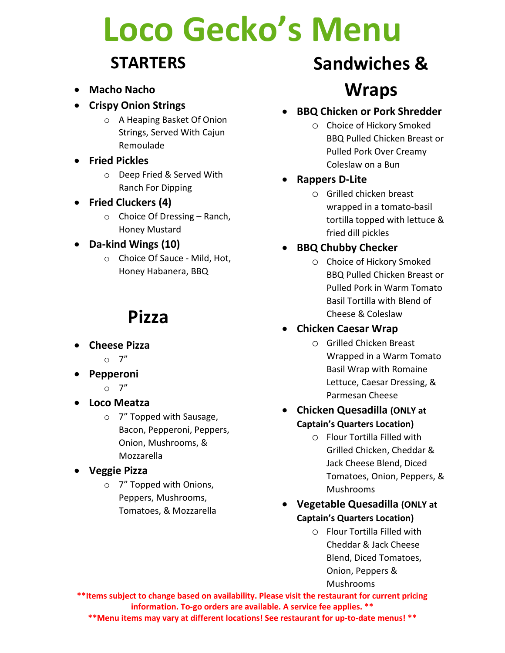# **Loco Gecko's Menu**

### **STARTERS**

- **Macho Nacho**
- **Crispy Onion Strings** 
	- o A Heaping Basket Of Onion Strings, Served With Cajun Remoulade
- **Fried Pickles** 
	- o Deep Fried & Served With Ranch For Dipping
- **Fried Cluckers (4)** 
	- $\circ$  Choice Of Dressing Ranch, Honey Mustard

#### • **Da-kind Wings (10)**

o Choice Of Sauce - Mild, Hot, Honey Habanera, BBQ

## **Pizza**

- **Cheese Pizza** 
	- $\circ$  7"
- **Pepperoni** 
	- $\circ$  7"
- **Loco Meatza** 
	- o 7" Topped with Sausage, Bacon, Pepperoni, Peppers, Onion, Mushrooms, & Mozzarella
- **Veggie Pizza** 
	- o 7" Topped with Onions, Peppers, Mushrooms, Tomatoes, & Mozzarella

## **Sandwiches & Wraps**

- **BBQ Chicken or Pork Shredder** 
	- o Choice of Hickory Smoked BBQ Pulled Chicken Breast or Pulled Pork Over Creamy Coleslaw on a Bun

#### • **Rappers D-Lite**

o Grilled chicken breast wrapped in a tomato-basil tortilla topped with lettuce & fried dill pickles

#### • **BBQ Chubby Checker**

o Choice of Hickory Smoked BBQ Pulled Chicken Breast or Pulled Pork in Warm Tomato Basil Tortilla with Blend of Cheese & Coleslaw

#### • **Chicken Caesar Wrap**

- o Grilled Chicken Breast Wrapped in a Warm Tomato Basil Wrap with Romaine Lettuce, Caesar Dressing, & Parmesan Cheese
- **Chicken Quesadilla (ONLY at Captain's Quarters Location)**
	- o Flour Tortilla Filled with Grilled Chicken, Cheddar & Jack Cheese Blend, Diced Tomatoes, Onion, Peppers, & Mushrooms
- **Vegetable Quesadilla (ONLY at Captain's Quarters Location)**
	- o Flour Tortilla Filled with Cheddar & Jack Cheese Blend, Diced Tomatoes, Onion, Peppers & Mushrooms

**\*\*Items subject to change based on availability. Please visit the restaurant for current pricing information. To-go orders are available. A service fee applies. \*\* \*\*Menu items may vary at different locations! See restaurant for up-to-date menus! \*\***